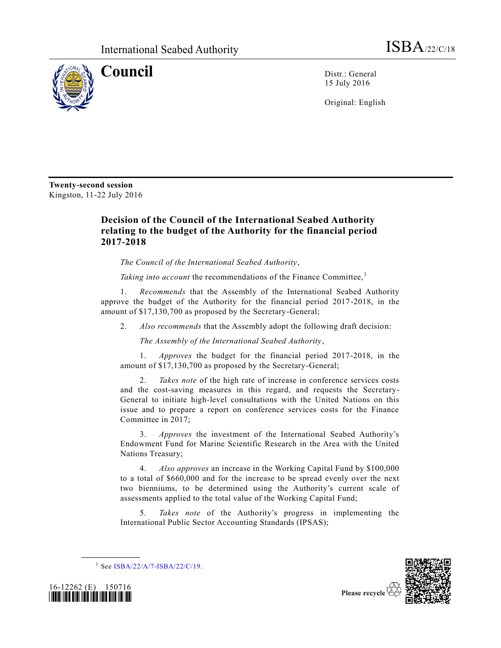

**Council** Distr.: General 15 July 2016

Original: English

**Twenty-second session** Kingston, 11-22 July 2016

## **Decision of the Council of the International Seabed Authority relating to the budget of the Authority for the financial period 2017-2018**

*The Council of the International Seabed Authority*,

*Taking into account* the recommendations of the Finance Committee,<sup>1</sup>

1. *Recommends* that the Assembly of the International Seabed Authority approve the budget of the Authority for the financial period 2017-2018, in the amount of \$17,130,700 as proposed by the Secretary-General;

2. *Also recommends* that the Assembly adopt the following draft decision:

*The Assembly of the International Seabed Authority*,

1. *Approves* the budget for the financial period 2017-2018, in the amount of \$17,130,700 as proposed by the Secretary-General;

2. *Takes note* of the high rate of increase in conference services costs and the cost-saving measures in this regard, and requests the Secretary-General to initiate high-level consultations with the United Nations on this issue and to prepare a report on conference services costs for the Finance Committee in 2017;

3. *Approves* the investment of the International Seabed Authority's Endowment Fund for Marine Scientific Research in the Area with the United Nations Treasury;

4. *Also approves* an increase in the Working Capital Fund by \$100,000 to a total of \$660,000 and for the increase to be spread evenly over the next two bienniums, to be determined using the Authority's current scale of assessments applied to the total value of the Working Capital Fund;

5. *Takes note* of the Authority's progress in implementing the International Public Sector Accounting Standards (IPSAS);





**\_\_\_\_\_\_\_\_\_\_\_\_\_\_\_\_\_\_**

Please recycle

<sup>&</sup>lt;sup>1</sup> See [ISBA/22/A/7-ISBA/22/C/19.](http://undocs.org/ISBA/22/A/7-ISBA/22/C/19)